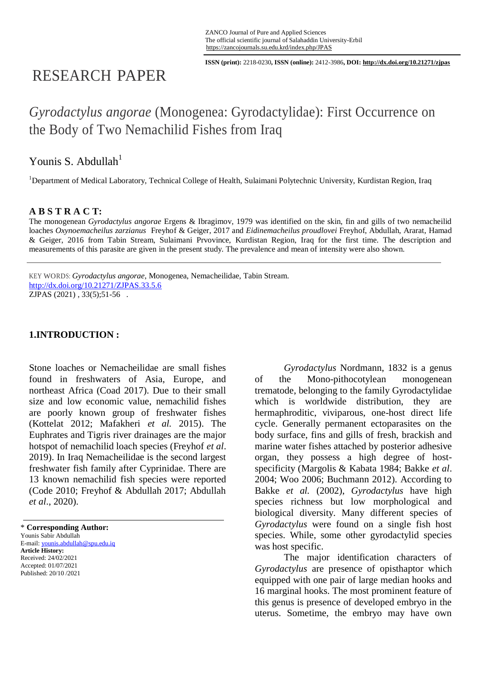**ISSN (print):** 2218-0230**, ISSN (online):** 2412-3986**, DOI: http://dx.doi.org/10.21271/zjpas**

# RESEARCH PAPER

# *Gyrodactylus angorae* (Monogenea: Gyrodactylidae): First Occurrence on the Body of Two Nemachilid Fishes from Iraq

# Younis S. Abdullah $<sup>1</sup>$ </sup>

<sup>1</sup>Department of Medical Laboratory, Technical College of Health, Sulaimani Polytechnic University, Kurdistan Region, Iraq

### **A B S T R A C T:**

The monogenean *Gyrodactylus angorae* Ergens & Ibragimov, 1979 was identified on the skin, fin and gills of two nemacheilid loaches *Oxynoemacheilus zarzianus* Freyhof & Geiger, 2017 and *Eidinemacheilus proudlovei* Freyhof, Abdullah, Ararat, Hamad & Geiger, 2016 from Tabin Stream, Sulaimani Prvovince, Kurdistan Region, Iraq for the first time. The description and measurements of this parasite are given in the present study. The prevalence and mean of intensity were also shown.

KEY WORDS: *Gyrodactylus angorae*, Monogenea, Nemacheilidae, Tabin Stream. <http://dx.doi.org/10.21271/ZJPAS.33.5.6> ZJPAS (2021), 33(5);51-56.

## **1.INTRODUCTION :**

Stone loaches or Nemacheilidae are small fishes found in freshwaters of Asia, Europe, and northeast Africa (Coad 2017). Due to their small size and low economic value, nemachilid fishes are poorly known group of freshwater fishes (Kottelat 2012; Mafakheri *et al.* 2015). The Euphrates and Tigris river drainages are the major hotspot of nemachilid loach species (Freyhof *et al*. 2019). In Iraq Nemacheilidae is the second largest freshwater fish family after Cyprinidae. There are 13 known nemachilid fish species were reported (Code 2010; Freyhof & Abdullah 2017; Abdullah *et al*., 2020).

\* **Corresponding Author:** Younis Sabir Abdullah E-mail: younis.abdullah@spu.edu.iq **Article History:** Received: 24/02/2021 Accepted: 01/07/2021 Published: 20/10 /2021

*Gyrodactylus* Nordmann, 1832 is a genus of the Mono-pithocotylean monogenean trematode, belonging to the family Gyrodactylidae which is worldwide distribution, they are hermaphroditic, viviparous, one-host direct life cycle. Generally permanent ectoparasites on the body surface, fins and gills of fresh, brackish and marine water fishes attached by posterior adhesive organ, they possess a high degree of hostspecificity (Margolis & Kabata 1984; Bakke *et al*. 2004; Woo 2006; Buchmann 2012). According to Bakke *et al.* (2002), *Gyrodactylus* have high species richness but low morphological and biological diversity. Many different species of *Gyrodactylus* were found on a single fish host species. While, some other gyrodactylid species was host specific.

The major identification characters of *Gyrodactylus* are presence of opisthaptor which equipped with one pair of large median hooks and 16 marginal hooks. The most prominent feature of this genus is presence of developed embryo in the uterus. Sometime, the embryo may have own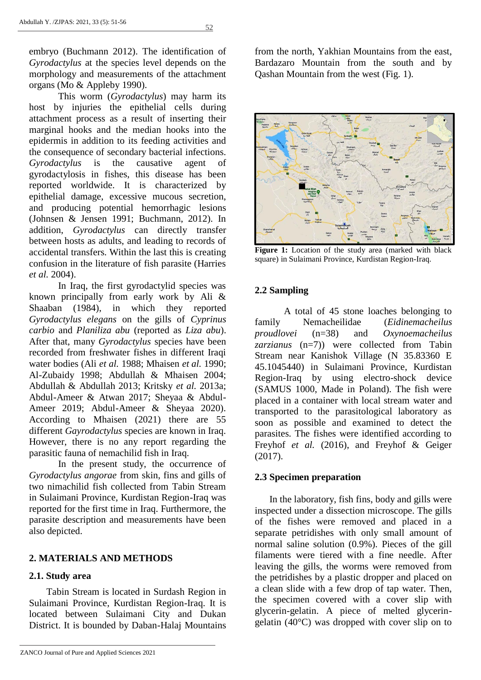$52$ 

embryo (Buchmann 2012). The identification of *Gyrodactylus* at the species level depends on the morphology and measurements of the attachment organs (Mo & Appleby 1990).

This worm (*Gyrodactylus*) may harm its host by injuries the epithelial cells during attachment process as a result of inserting their marginal hooks and the median hooks into the epidermis in addition to its feeding activities and the consequence of secondary bacterial infections. *Gyrodactylus* is the causative agent of gyrodactylosis in fishes, this disease has been reported worldwide. It is characterized by epithelial damage, excessive mucous secretion, and producing potential hemorrhagic lesions (Johnsen & Jensen 1991; Buchmann, 2012). In addition, *Gyrodactylus* can directly transfer between hosts as adults, and leading to records of accidental transfers. Within the last this is creating confusion in the literature of fish parasite (Harries *et al.* 2004).

In Iraq, the first gyrodactylid species was known principally from early work by Ali & Shaaban (1984), in which they reported *Gyrodactylus elegans* on the gills of *Cyprinus carbio* and *Planiliza abu* (reported as *Liza abu*). After that, many *Gyrodactylus* species have been recorded from freshwater fishes in different Iraqi water bodies (Ali *et al.* 1988; Mhaisen *et al.* 1990; Al-Zubaidy 1998; Abdullah & Mhaisen 2004; Abdullah & Abdullah 2013; Kritsky *et al.* 2013a; Abdul-Ameer & Atwan 2017; Sheyaa & Abdul-Ameer 2019; Abdul-Ameer & Sheyaa 2020). According to Mhaisen (2021) there are 55 different *Gayrodactylus* species are known in Iraq. However, there is no any report regarding the parasitic fauna of nemachilid fish in Iraq.

In the present study, the occurrence of *Gyrodactylus angorae* from skin, fins and gills of two nimachilid fish collected from Tabin Stream in Sulaimani Province, Kurdistan Region-Iraq was reported for the first time in Iraq. Furthermore, the parasite description and measurements have been also depicted.

#### **2. MATERIALS AND METHODS**

#### **2.1. Study area**

Tabin Stream is located in Surdash Region in Sulaimani Province, Kurdistan Region-Iraq. It is located between Sulaimani City and Dukan District. It is bounded by Daban-Halaj Mountains

ZANCO Journal of Pure and Applied Sciences 2021

from the north, Yakhian Mountains from the east, Bardazaro Mountain from the south and by Qashan Mountain from the west (Fig. 1).



**Figure 1:** Location of the study area (marked with black square) in Sulaimani Province, Kurdistan Region-Iraq.

#### **2.2 Sampling**

A total of 45 stone loaches belonging to family Nemacheilidae (*Eidinemacheilus proudlovei* (n=38) and *Oxynoemacheilus zarzianus* (n=7)) were collected from Tabin Stream near Kanishok Village (N 35.83360 E 45.1045440) in Sulaimani Province, Kurdistan Region-Iraq by using electro-shock device (SAMUS 1000, Made in Poland). The fish were placed in a container with local stream water and transported to the parasitological laboratory as soon as possible and examined to detect the parasites. The fishes were identified according to Freyhof *et al.* (2016), and Freyhof & Geiger (2017).

#### **2.3 Specimen preparation**

In the laboratory, fish fins, body and gills were inspected under a dissection microscope. The gills of the fishes were removed and placed in a separate petridishes with only small amount of normal saline solution (0.9%). Pieces of the gill filaments were tiered with a fine needle. After leaving the gills, the worms were removed from the petridishes by a plastic dropper and placed on a clean slide with a few drop of tap water. Then, the specimen covered with a cover slip with glycerin-gelatin. A piece of melted glyceringelatin (40°C) was dropped with cover slip on to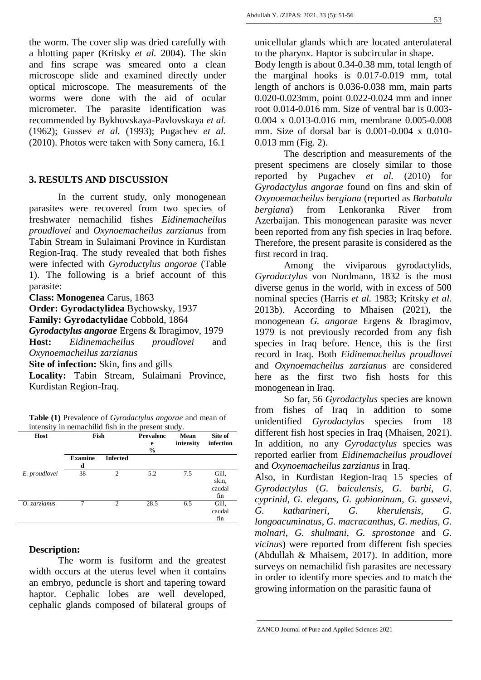(1962); Gussev *et al.* (1993); Pugachev *et al.*

(2010). Photos were taken with Sony camera, 16.1 **3. RESULTS AND DISCUSSION**

In the current study, only monogenean parasites were recovered from two species of freshwater nemachilid fishes *Eidinemacheilus proudlovei* and *Oxynoemacheilus zarzianus* from Tabin Stream in Sulaimani Province in Kurdistan Region-Iraq. The study revealed that both fishes were infected with *Gyroductylus angorae* (Table 1). The following is a brief account of this parasite:

**Class: Monogenea** Carus, 1863

**Order: Gyrodactylidea** Bychowsky, 1937

**Family: Gyrodactylidae** Cobbold, 1864

*Gyrodactylus angorae* Ergens & Ibragimov, 1979 **Host:** *Eidinemacheilus proudlovei* and *Oxynoemacheilus zarzianus*

**Site of infection:** Skin, fins and gills

**Locality:** Tabin Stream, Sulaimani Province, Kurdistan Region-Iraq.

**Table (1)** Prevalence of *Gyrodactylus angorae* and mean of intensity in nemachilid fish in the present study.

| Host          | Fish                |                 | <b>Prevalenc</b><br>e<br>$\frac{6}{9}$ | <b>Mean</b><br>intensity | Site of<br>infection            |
|---------------|---------------------|-----------------|----------------------------------------|--------------------------|---------------------------------|
|               | <b>Examine</b><br>d | <b>Infected</b> |                                        |                          |                                 |
| E. proudlovei | 38                  | $\overline{c}$  | 5.2                                    | 7.5                      | Gill,<br>skin,<br>caudal<br>fin |
| O. zarzianus  | 7                   | $\mathfrak{D}$  | 28.5                                   | 6.5                      | Gill,<br>caudal<br>fin          |

### **Description:**

The worm is fusiform and the greatest width occurs at the uterus level when it contains an embryo, peduncle is short and tapering toward haptor. Cephalic lobes are well developed, cephalic glands composed of bilateral groups of unicellular glands which are located anterolateral to the pharynx. Haptor is subcircular in shape.

Body length is about 0.34-0.38 mm, total length of the marginal hooks is 0.017-0.019 mm, total length of anchors is 0.036-0.038 mm, main parts 0.020-0.023mm, point 0.022-0.024 mm and inner root 0.014-0.016 mm. Size of ventral bar is 0.003- 0.004 x 0.013-0.016 mm, membrane 0.005-0.008 mm. Size of dorsal bar is 0.001-0.004 x 0.010- 0.013 mm (Fig. 2).

The description and measurements of the present specimens are closely similar to those reported by Pugachev *et al.* (2010) for *Gyrodactylus angorae* found on fins and skin of *Oxynoemacheilus bergiana* (reported as *Barbatula bergiana*) from Lenkoranka River from Azerbaijan. This monogenean parasite was never been reported from any fish species in Iraq before. Therefore, the present parasite is considered as the first record in Iraq.

Among the viviparous gyrodactylids, *Gyrodactylus* von Nordmann, 1832 is the most diverse genus in the world, with in excess of 500 nominal species (Harris *et al.* 1983; Kritsky *et al.* 2013b). According to Mhaisen (2021), the monogenean *G. angorae* Ergens & Ibragimov, 1979 is not previously recorded from any fish species in Iraq before. Hence, this is the first record in Iraq. Both *Eidinemacheilus proudlovei* and *Oxynoemacheilus zarzianus* are considered here as the first two fish hosts for this monogenean in Iraq.

So far, 56 *Gyrodactylus* species are known from fishes of Iraq in addition to some unidentified *Gyrodactylus* species from 18 different fish host species in Iraq (Mhaisen, 2021). In addition, no any *Gyrodactylus* species was reported earlier from *Eidinemacheilus proudlovei* and *Oxynoemacheilus zarzianus* in Iraq.

Also, in Kurdistan Region-Iraq 15 species of *Gyrodactylus* (*G. baicalensis*, *G. barbi*, *G. cyprinid*, *G. elegans*, *G. gobioninum*, *G. gussevi*, *G. katharineri*, *G. kherulensis*, *G. longoacuminatus*, *G. macracanthus*, *G. medius*, *G. molnari*, *G. shulmani*, *G. sprostonae* and *G. vicinus*) were reported from different fish species (Abdullah & Mhaisem, 2017). In addition, more surveys on nemachilid fish parasites are necessary in order to identify more species and to match the growing information on the parasitic fauna of

ZANCO Journal of Pure and Applied Sciences 2021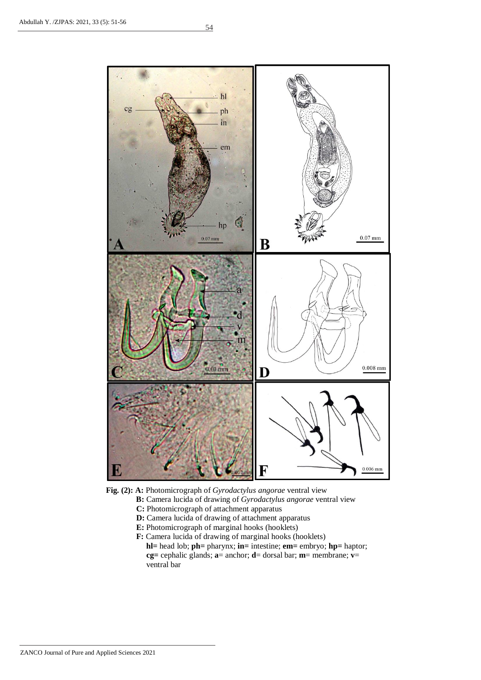



- **B:** Camera lucida of drawing of *Gyrodactylus angorae* ventral view
- **C:** Photomicrograph of attachment apparatus
- **D:** Camera lucida of drawing of attachment apparatus
- **E:** Photomicrograph of marginal hooks (hooklets)
- **F:** Camera lucida of drawing of marginal hooks (hooklets)  **hl=** head lob; **ph=** pharynx; **in=** intestine; **em=** embryo; **hp=** haptor; **cg=** cephalic glands; **a**= anchor; **d**= dorsal bar; **m**= membrane; **v**= ventral bar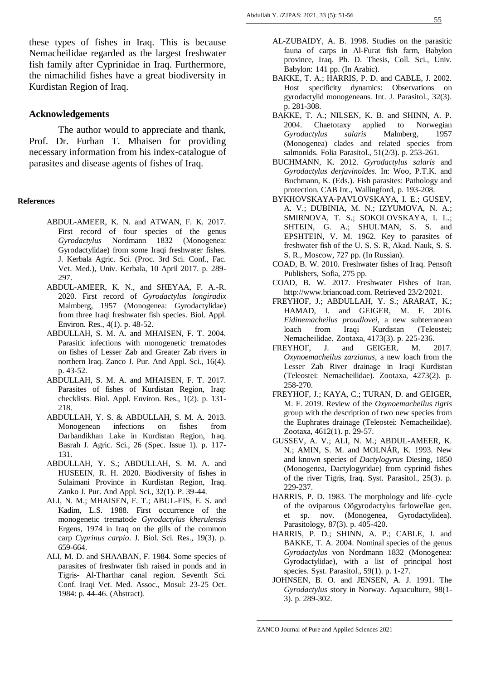these types of fishes in Iraq. This is because Nemacheilidae regarded as the largest freshwater fish family after Cyprinidae in Iraq. Furthermore, the nimachilid fishes have a great biodiversity in Kurdistan Region of Iraq.

#### **Acknowledgements**

The author would to appreciate and thank, Prof. Dr. Furhan T. Mhaisen for providing necessary information from his index-catalogue of parasites and disease agents of fishes of Iraq.

#### **References**

- ABDUL-AMEER, K. N. and ATWAN, F. K. 2017. First record of four species of the genus *Gyrodactylus* Nordmann 1832 (Monogenea: Gyrodactylidae) from some Iraqi freshwater fishes. J. Kerbala Agric. Sci. (Proc. 3rd Sci. Conf., Fac. Vet. Med.), Univ. Kerbala, 10 April 2017. p. 289- 297.
- ABDUL-AMEER, K. N., and SHEYAA, F. A.-R. 2020. First record of *Gyrodactylus longiradix*  Malmberg, 1957 (Monogenea: Gyrodactylidae) from three Iraqi freshwater fish species. Biol. Appl. Environ. Res., 4(1). p. 48-52.
- ABDULLAH, S. M. A. and MHAISEN, F. T. 2004. Parasitic infections with monogenetic trematodes on fishes of Lesser Zab and Greater Zab rivers in northern Iraq. Zanco J. Pur. And Appl. Sci., 16(4). p. 43-52.
- ABDULLAH, S. M. A. and MHAISEN, F. T. 2017. Parasites of fishes of Kurdistan Region, Iraq: checklists. Biol. Appl. Environ. Res., 1(2). p. 131- 218.
- ABDULLAH, Y. S. & ABDULLAH, S. M. A. 2013. Monogenean infections on fishes from Darbandikhan Lake in Kurdistan Region, Iraq. Basrah J. Agric. Sci., 26 (Spec. Issue 1). p. 117- 131.
- ABDULLAH, Y. S.; ABDULLAH, S. M. A. and HUSEEIN, R. H. 2020. Biodiversity of fishes in Sulaimani Province in Kurdistan Region, Iraq. Zanko J. Pur. And Appl. Sci., 32(1). P. 39-44.
- ALI, N. M.; MHAISEN, F. T.; ABUL-EIS, E. S. and Kadim, L.S. 1988. First occurrence of the monogenetic trematode *Gyrodactylus kherulensis*  Ergens, 1974 in Iraq on the gills of the common carp *Cyprinus carpio*. J. Biol. Sci. Res., 19(3). p. 659-664.
- ALI, M. D. and SHAABAN, F. 1984. Some species of parasites of freshwater fish raised in ponds and in Tigris- Al-Tharthar canal region. Seventh Sci. Conf. Iraqi Vet. Med. Assoc., Mosul: 23-25 Oct. 1984: p. 44-46. (Abstract).
- AL-ZUBAIDY, A. B. 1998. Studies on the parasitic fauna of carps in Al-Furat fish farm, Babylon province, Iraq. Ph. D. Thesis, Coll. Sci., Univ. Babylon: 141 pp. (In Arabic).
- BAKKE, T. A.; HARRIS, P. D. and CABLE, J. 2002. Host specificity dynamics: Observations on gyrodactylid monogeneans*.* Int. J. Parasitol., 32(3). p. 281-308.
- BAKKE, T. A.; NILSEN, K. B. and SHINN, A. P. 2004. Chaetotaxy applied to Norwegian *Gyrodactylus salaris* Malmberg, 1957 (Monogenea) clades and related species from salmonids. Folia Parasitol., 51(2/3). p. 253-261.
- BUCHMANN, K. 2012. *Gyrodactylus salaris* and *Gyrodactylus derjavinoides*. In: Woo, P.T.K. and Buchmann, K. (Eds.). Fish parasites: Pathology and protection. CAB Int., Wallingford, p. 193-208.
- BYKHOVSKAYA-PAVLOVSKAYA, I. E.; GUSEV, A. V.; DUBINIA, M. N.; IZYUMOVA, N. A.; SMIRNOVA, T. S.; SOKOLOVSKAYA, I. L.; SHTEIN, G. A.; SHUL'MAN, S. S. and EPSHTEIN, V. M. 1962. Key to parasites of freshwater fish of the U. S. S. R, Akad. Nauk, S. S. S. R., Moscow, 727 pp. (In Russian).
- COAD, B. W. 2010. Freshwater fishes of Iraq. Pensoft Publishers, Sofia, 275 pp.
- COAD, B. W. 2017. Freshwater Fishes of Iran. http://www.briancoad.com. Retrieved 23/2/2021.
- FREYHOF, J.; ABDULLAH, Y. S.; ARARAT, K.; HAMAD, I. and GEIGER, M. F. 2016. *Eidinemacheilus proudlovei*, a new subterranean loach from Iraqi Kurdistan (Teleostei; Nemacheilidae. Zootaxa, 4173(3). p. 225-236.
- FREYHOF, J. and GEIGER, M. 2017. *Oxynoemacheilus zarzianus*, a new loach from the Lesser Zab River drainage in Iraqi Kurdistan (Teleostei: Nemacheilidae). Zootaxa, 4273(2). p. 258-270.
- FREYHOF, J.; KAYA, C.; TURAN, D. and GEIGER, M. F. 2019. Review of the *Oxynoemacheilus tigris*  group with the description of two new species from the Euphrates drainage (Teleostei: Nemacheilidae). Zootaxa, 4612(1). p. 29-57.
- GUSSEV, A. V.; ALI, N. M.; ABDUL-AMEER, K. N.; AMIN, S. M. and MOLNÁR, K. 1993. New and known species of *Dactylogyrus* Diesing, 1850 (Monogenea, Dactylogyridae) from cyprinid fishes of the river Tigris, Iraq. Syst. Parasitol., 25(3). p. 229-237.
- HARRIS, P. D. 1983. The morphology and life–cycle of the oviparous Oögyrodactylus farlowellae gen. et sp. nov. (Monogenea, Gyrodactylidea). Parasitology, 87(3). p. 405-420.
- HARRIS, P. D.; SHINN, A. P.; CABLE, J. and BAKKE, T. A. 2004. Nominal species of the genus *Gyrodactylus* von Nordmann 1832 (Monogenea: Gyrodactylidae), with a list of principal host species. Syst. Parasitol., 59(1). p. 1-27.
- JOHNSEN, B. O. and JENSEN, A. J. 1991. The *Gyrodactylus* story in Norway. Aquaculture, 98(1- 3). p. 289-302.

ZANCO Journal of Pure and Applied Sciences 2021